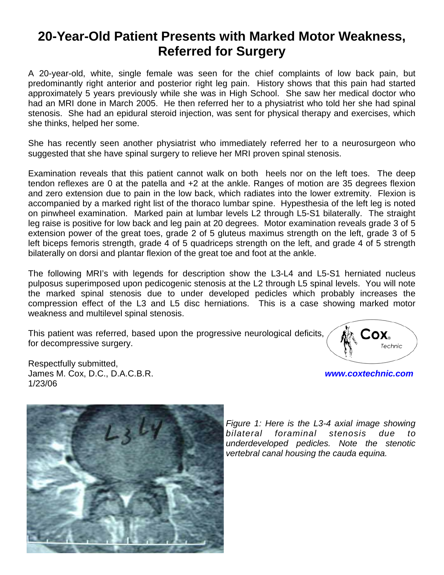## **20-Year-Old Patient Presents with Marked Motor Weakness, Referred for Surgery**

A 20-year-old, white, single female was seen for the chief complaints of low back pain, but predominantly right anterior and posterior right leg pain. History shows that this pain had started approximately 5 years previously while she was in High School. She saw her medical doctor who had an MRI done in March 2005. He then referred her to a physiatrist who told her she had spinal stenosis. She had an epidural steroid injection, was sent for physical therapy and exercises, which she thinks, helped her some.

She has recently seen another physiatrist who immediately referred her to a neurosurgeon who suggested that she have spinal surgery to relieve her MRI proven spinal stenosis.

Examination reveals that this patient cannot walk on both heels nor on the left toes. The deep tendon reflexes are 0 at the patella and +2 at the ankle. Ranges of motion are 35 degrees flexion and zero extension due to pain in the low back, which radiates into the lower extremity. Flexion is accompanied by a marked right list of the thoraco lumbar spine. Hypesthesia of the left leg is noted on pinwheel examination. Marked pain at lumbar levels L2 through L5-S1 bilaterally. The straight leg raise is positive for low back and leg pain at 20 degrees. Motor examination reveals grade 3 of 5 extension power of the great toes, grade 2 of 5 gluteus maximus strength on the left, grade 3 of 5 left biceps femoris strength, grade 4 of 5 quadriceps strength on the left, and grade 4 of 5 strength bilaterally on dorsi and plantar flexion of the great toe and foot at the ankle.

The following MRI's with legends for description show the L3-L4 and L5-S1 herniated nucleus pulposus superimposed upon pedicogenic stenosis at the L2 through L5 spinal levels. You will note the marked spinal stenosis due to under developed pedicles which probably increases the compression effect of the L3 and L5 disc herniations. This is a case showing marked motor weakness and multilevel spinal stenosis.

This patient was referred, based upon the progressive neurological deficits, for decompressive surgery.

Respectfully submitted, James M. Cox, D.C., D.A.C.B.R. *www.coxtechnic.com* 1/23/06



*Figure 1: Here is the L3-4 axial image showing bilateral foraminal stenosis due to underdeveloped pedicles. Note the stenotic vertebral canal housing the cauda equina.*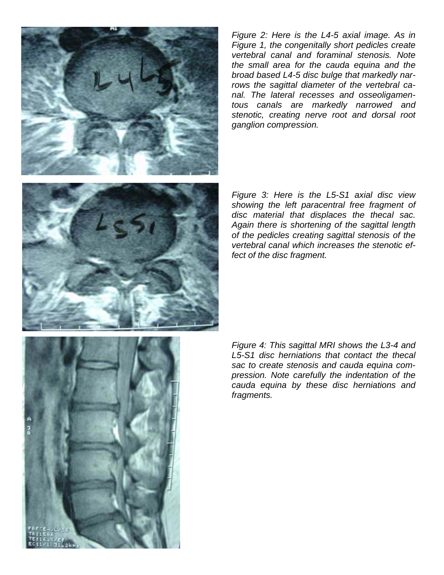

*Figure 2: Here is the L4-5 axial image. As in Figure 1, the congenitally short pedicles create vertebral canal and foraminal stenosis. Note the small area for the cauda equina and the broad based L4-5 disc bulge that markedly narrows the sagittal diameter of the vertebral canal. The lateral recesses and osseoligamentous canals are markedly narrowed and stenotic, creating nerve root and dorsal root ganglion compression.* 

*Figure 3: Here is the L5-S1 axial disc view showing the left paracentral free fragment of disc material that displaces the thecal sac. Again there is shortening of the sagittal length of the pedicles creating sagittal stenosis of the vertebral canal which increases the stenotic effect of the disc fragment.* 



*Figure 4: This sagittal MRI shows the L3-4 and L5-S1 disc herniations that contact the thecal sac to create stenosis and cauda equina compression. Note carefully the indentation of the cauda equina by these disc herniations and fragments.*